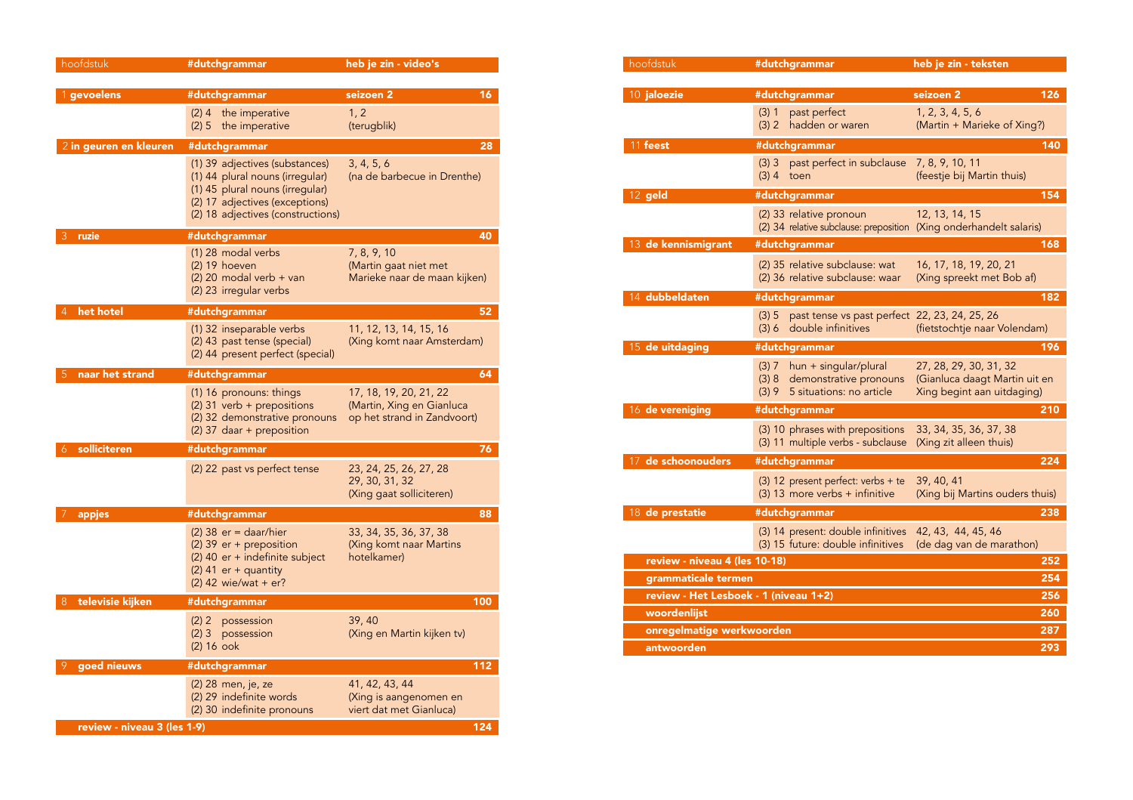| hoofdstuk                   | #dutchgrammar                                                                                                                                                               | heb je zin - video's                                                               |
|-----------------------------|-----------------------------------------------------------------------------------------------------------------------------------------------------------------------------|------------------------------------------------------------------------------------|
|                             |                                                                                                                                                                             |                                                                                    |
| 1 gevoelens                 | #dutchgrammar                                                                                                                                                               | seizoen 2<br>16                                                                    |
|                             | (2) 4 the imperative<br>(2) 5<br>the imperative                                                                                                                             | 1, 2<br>(terugblik)                                                                |
| 2 in geuren en kleuren      | #dutchgrammar                                                                                                                                                               | 28                                                                                 |
|                             | (1) 39 adjectives (substances)<br>(1) 44 plural nouns (irregular)<br>(1) 45 plural nouns (irregular)<br>(2) 17 adjectives (exceptions)<br>(2) 18 adjectives (constructions) | 3, 4, 5, 6<br>(na de barbecue in Drenthe)                                          |
| 3<br>ruzie                  | #dutchgrammar                                                                                                                                                               | 40                                                                                 |
|                             | (1) 28 modal verbs<br>$(2)$ 19 hoeven<br>$(2)$ 20 modal verb + van<br>(2) 23 irregular verbs                                                                                | 7, 8, 9, 10<br>(Martin gaat niet met<br>Marieke naar de maan kijken)               |
| het hotel<br>4              | #dutchgrammar                                                                                                                                                               | 52                                                                                 |
|                             | (1) 32 inseparable verbs<br>(2) 43 past tense (special)<br>(2) 44 present perfect (special)                                                                                 | 11, 12, 13, 14, 15, 16<br>(Xing komt naar Amsterdam)                               |
| naar het strand<br>5        | #dutchgrammar                                                                                                                                                               | 64                                                                                 |
|                             | (1) 16 pronouns: things<br>(2) 31 verb + prepositions<br>(2) 32 demonstrative pronouns<br>(2) 37 daar + preposition                                                         | 17, 18, 19, 20, 21, 22<br>(Martin, Xing en Gianluca<br>op het strand in Zandvoort) |
| solliciteren<br>6           | #dutchgrammar                                                                                                                                                               | 76                                                                                 |
|                             | (2) 22 past vs perfect tense                                                                                                                                                | 23, 24, 25, 26, 27, 28<br>29, 30, 31, 32<br>(Xing gaat solliciteren)               |
| appjes                      | #dutchgrammar                                                                                                                                                               | 88                                                                                 |
|                             | $(2)$ 38 er = daar/hier<br>(2) 39 er + preposition<br>(2) 40 er + indefinite subject<br>$(2)$ 41 er + quantity<br>$(2)$ 42 wie/wat + er?                                    | 33, 34, 35, 36, 37, 38<br>(Xing komt naar Martins<br>hotelkamer)                   |
| televisie kijken<br>8       | #dutchgrammar                                                                                                                                                               | 100                                                                                |
|                             | (2) 2<br>possession<br>$(2)$ 3<br>possession<br>$(2)$ 16 ook                                                                                                                | 39, 40<br>(Xing en Martin kijken tv)                                               |
| goed nieuws<br>9            | #dutchgrammar                                                                                                                                                               | 112                                                                                |
|                             | (2) 28 men, je, ze<br>(2) 29 indefinite words<br>(2) 30 indefinite pronouns                                                                                                 | 41, 42, 43, 44<br>(Xing is aangenomen en<br>viert dat met Gianluca)                |
| review - niveau 3 (les 1-9) |                                                                                                                                                                             | 124                                                                                |

| hoofdstuk                             | #dutchgrammar                                                                                         | heb je zin - teksten                                                                  |
|---------------------------------------|-------------------------------------------------------------------------------------------------------|---------------------------------------------------------------------------------------|
|                                       |                                                                                                       |                                                                                       |
| 10 jaloezie                           | #dutchgrammar                                                                                         | seizoen 2<br>126                                                                      |
|                                       | past perfect<br>$(3)$ 1<br>(3) 2<br>hadden or waren                                                   | 1, 2, 3, 4, 5, 6<br>(Martin + Marieke of Xing?)                                       |
| 11 feest                              | #dutchgrammar                                                                                         | 140                                                                                   |
|                                       | past perfect in subclause<br>$(3)$ 3<br>$(3)$ 4<br>toen                                               | 7, 8, 9, 10, 11<br>(feestje bij Martin thuis)                                         |
| 12 geld                               | #dutchgrammar                                                                                         | 154                                                                                   |
|                                       | (2) 33 relative pronoun<br>(2) 34 relative subclause: preposition (Xing onderhandelt salaris)         | 12, 13, 14, 15                                                                        |
| 13 de kennismigrant                   | #dutchgrammar                                                                                         | 168                                                                                   |
|                                       | (2) 35 relative subclause: wat<br>(2) 36 relative subclause: waar                                     | 16, 17, 18, 19, 20, 21<br>(Xing spreekt met Bob af)                                   |
| 14 dubbeldaten                        | #dutchgrammar                                                                                         | 182                                                                                   |
|                                       | past tense vs past perfect 22, 23, 24, 25, 26<br>(3) 5<br>double infinitives<br>(3) 6                 | (fietstochtje naar Volendam)                                                          |
| 15 de uitdaging                       | #dutchgrammar                                                                                         | 196                                                                                   |
|                                       | hun + singular/plural<br>(3) 7<br>demonstrative pronouns<br>(3) 8<br>5 situations: no article<br>(3)9 | 27, 28, 29, 30, 31, 32<br>(Gianluca daagt Martin uit en<br>Xing begint aan uitdaging) |
| 16 de vereniging                      | #dutchgrammar                                                                                         | 210                                                                                   |
|                                       | (3) 10 phrases with prepositions<br>(3) 11 multiple verbs - subclause                                 | 33, 34, 35, 36, 37, 38<br>(Xing zit alleen thuis)                                     |
| 17 de schoonouders                    | #dutchgrammar                                                                                         | 224                                                                                   |
|                                       | (3) 12 present perfect: verbs + te<br>(3) 13 more verbs + infinitive                                  | 39, 40, 41<br>(Xing bij Martins ouders thuis)                                         |
| 18 de prestatie                       | #dutchgrammar                                                                                         | 238                                                                                   |
|                                       | (3) 14 present: double infinitives<br>(3) 15 future: double infinitives                               | 42, 43, 44, 45, 46<br>(de dag van de marathon)                                        |
| review - niveau 4 (les 10-18)         |                                                                                                       | 252                                                                                   |
| grammaticale termen                   |                                                                                                       | 254                                                                                   |
| review - Het Lesboek - 1 (niveau 1+2) |                                                                                                       | 256                                                                                   |
| woordenlijst                          |                                                                                                       | 260                                                                                   |
| onregelmatige werkwoorden             |                                                                                                       | 287                                                                                   |
| antwoorden                            |                                                                                                       | 293                                                                                   |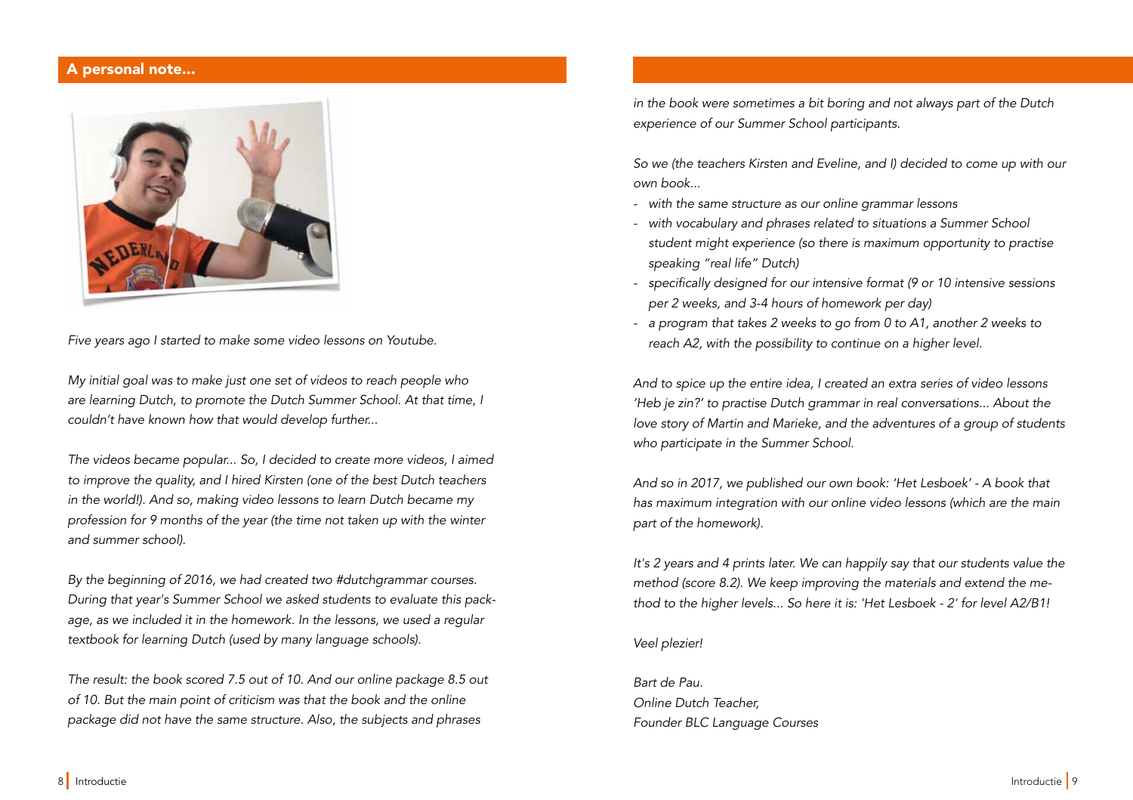### A personal note...



Five years ago I started to make some video lessons on Youtube.

My initial goal was to make just one set of videos to reach people who are learning Dutch, to promote the Dutch Summer School. At that time, I couldn't have known how that would develop further...

The videos became popular... So, I decided to create more videos, I aimed to improve the quality, and I hired Kirsten (one of the best Dutch teachers in the world!). And so, making video lessons to learn Dutch became my profession for 9 months of the year (the time not taken up with the winter and summer school).

By the beginning of 2016, we had created two #dutchgrammar courses. During that year's Summer School we asked students to evaluate this package, as we included it in the homework. In the lessons, we used a regular textbook for learning Dutch (used by many language schools).

The result: the book scored 7.5 out of 10. And our online package 8.5 out of 10. But the main point of criticism was that the book and the online package did not have the same structure. Also, the subjects and phrases

in the book were sometimes a bit boring and not always part of the Dutch experience of our Summer School participants.

So we (the teachers Kirsten and Eveline, and I) decided to come up with our own book...

- with the same structure as our online grammar lessons
- with vocabulary and phrases related to situations a Summer School student might experience (so there is maximum opportunity to practise speaking "real life" Dutch)
- specifically designed for our intensive format (9 or 10 intensive sessions per 2 weeks, and 3-4 hours of homework per day)
- a program that takes 2 weeks to go from 0 to A1, another 2 weeks to reach A2, with the possibility to continue on a higher level.

And to spice up the entire idea, I created an extra series of video lessons 'Heb je zin?' to practise Dutch grammar in real conversations... About the love story of Martin and Marieke, and the adventures of a group of students who participate in the Summer School.

And so in 2017, we published our own book: 'Het Lesboek' - A book that has maximum integration with our online video lessons (which are the main part of the homework).

It's 2 years and 4 prints later. We can happily say that our students value the method (score 8.2). We keep improving the materials and extend the method to the higher levels... So here it is: 'Het Lesboek - 2' for level A2/B1!

#### Veel plezier!

Bart de Pau. Online Dutch Teacher, Founder BLC Language Courses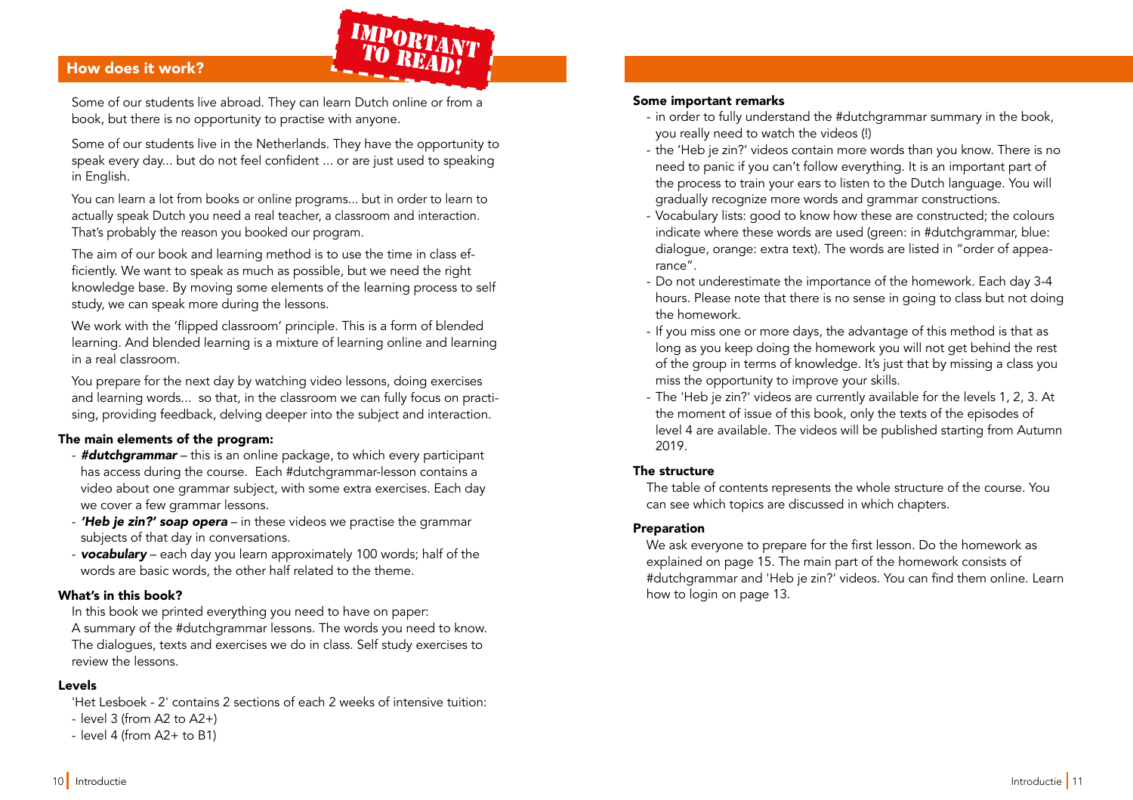# How does it work? How does it work?

Some of our students live abroad. They can learn Dutch online or from a book, but there is no opportunity to practise with anyone.

IMPORTANT<br>TO READ!

Some of our students live in the Netherlands. They have the opportunity to speak every day... but do not feel confident ... or are just used to speaking in English.

You can learn a lot from books or online programs... but in order to learn to actually speak Dutch you need a real teacher, a classroom and interaction. That's probably the reason you booked our program.

The aim of our book and learning method is to use the time in class efficiently. We want to speak as much as possible, but we need the right knowledge base. By moving some elements of the learning process to self study, we can speak more during the lessons.

We work with the 'fipped classroom' principle. This is a form of blended learning. And blended learning is a mixture of learning online and learning in a real classroom.

You prepare for the next day by watching video lessons, doing exercises and learning words... so that, in the classroom we can fully focus on practising, providing feedback, delving deeper into the subject and interaction.

#### The main elements of the program:

- **#dutchgrammar** this is an online package, to which every participant has access during the course. Each #dutchgrammar-lesson contains a video about one grammar subject, with some extra exercises. Each day we cover a few grammar lessons.
- **'Heb je zin?' soap opera** in these videos we practise the grammar subjects of that day in conversations.
- vocabulary each day you learn approximately 100 words; half of the words are basic words, the other half related to the theme.

#### What's in this book?

In this book we printed everything you need to have on paper: A summary of the #dutchgrammar lessons. The words you need to know. The dialogues, texts and exercises we do in class. Self study exercises to review the lessons.

#### Levels

'Het Lesboek - 2' contains 2 sections of each 2 weeks of intensive tuition:

- level 3 (from A2 to A2+)
- level 4 (from A2+ to B1)

#### Some important remarks

- in order to fully understand the #dutchgrammar summary in the book, you really need to watch the videos (!)
- the 'Heb je zin?' videos contain more words than you know. There is no need to panic if you can't follow everything. It is an important part of the process to train your ears to listen to the Dutch language. You will gradually recognize more words and grammar constructions.
- Vocabulary lists: good to know how these are constructed; the colours indicate where these words are used (green: in #dutchgrammar, blue: dialogue, orange: extra text). The words are listed in "order of appearance".
- Do not underestimate the importance of the homework. Each day 3-4 hours. Please note that there is no sense in going to class but not doing the homework.
- If you miss one or more days, the advantage of this method is that as long as you keep doing the homework you will not get behind the rest of the group in terms of knowledge. It's just that by missing a class you miss the opportunity to improve your skills.
- The 'Heb je zin?' videos are currently available for the levels 1, 2, 3. At the moment of issue of this book, only the texts of the episodes of level 4 are available. The videos will be published starting from Autumn 2019.

#### The structure

The table of contents represents the whole structure of the course. You can see which topics are discussed in which chapters.

#### Preparation

We ask everyone to prepare for the first lesson. Do the homework as explained on page 15. The main part of the homework consists of #dutchgrammar and 'Heb je zin?' videos. You can find them online. Learn how to login on page 13.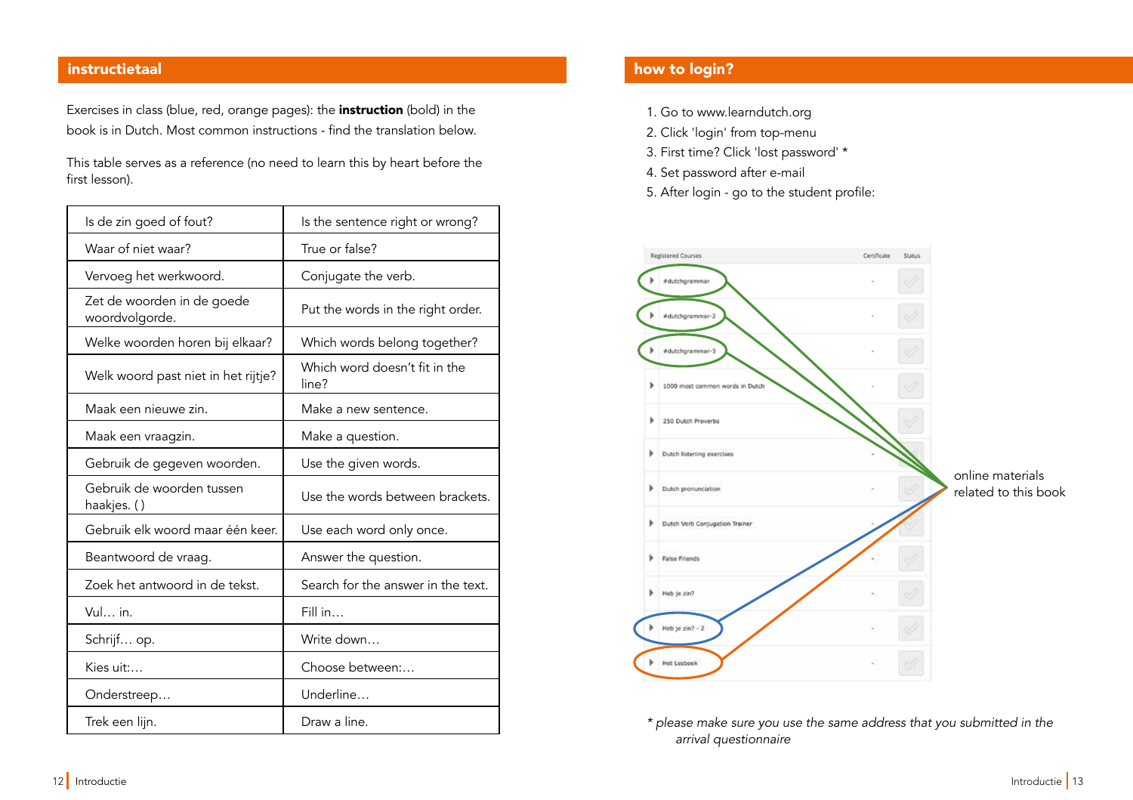Exercises in class (blue, red, orange pages): the **instruction** (bold) in the book is in Dutch. Most common instructions - find the translation below.

This table serves as a reference (no need to learn this by heart before the first lesson).

| Is de zin goed of fout?                      | Is the sentence right or wrong?        |  |
|----------------------------------------------|----------------------------------------|--|
| Waar of niet waar?                           | True or false?                         |  |
| Vervoeg het werkwoord.                       | Conjugate the verb.                    |  |
| Zet de woorden in de goede<br>woordvolgorde. | Put the words in the right order.      |  |
| Welke woorden horen bij elkaar?              | Which words belong together?           |  |
| Welk woord past niet in het rijtje?          | Which word doesn't fit in the<br>line? |  |
| Maak een nieuwe zin.                         | Make a new sentence.                   |  |
| Maak een vraagzin.                           | Make a question.                       |  |
| Gebruik de gegeven woorden.                  | Use the given words.                   |  |
| Gebruik de woorden tussen<br>haakjes. ()     | Use the words between brackets.        |  |
| Gebruik elk woord maar één keer.             | Use each word only once.               |  |
| Beantwoord de vraag.                         | Answer the question.                   |  |
| Zoek het antwoord in de tekst.               | Search for the answer in the text.     |  |
| Vul in.                                      | Fill in                                |  |
| Schrijf op.                                  | Write down                             |  |
| Kies uit:                                    | Choose between:                        |  |
| Onderstreep                                  | Underline                              |  |
| Trek een lijn.                               | Draw a line.                           |  |

# instructietaal how to login? The contraction of the contraction of the contraction of the contraction of the co

- 1. Go to www.learndutch.org
- 2. Click 'login' from top-menu
- 3. First time? Click 'lost password' \*
- 4. Set password after e-mail
- 5. After login go to the student profle:



\* please make sure you use the same address that you submitted in the arrival questionnaire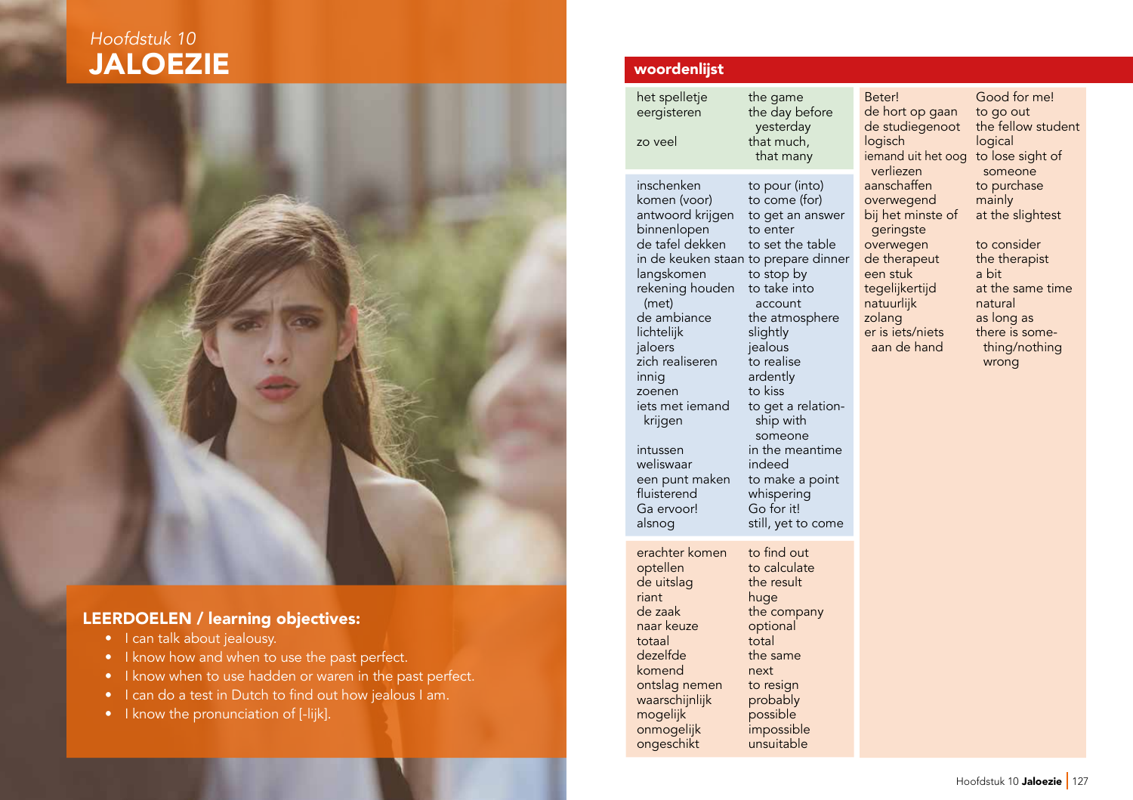# **JALOEZIE** Hoofdstuk 10



# LEERDOELEN / learning objectives:

- I can talk about jealousy.
- I know how and when to use the past perfect.
- I know when to use hadden or waren in the past perfect.
- I can do a test in Dutch to find out how jealous I am.
- I know the pronunciation of [-lijk].

# woordenlist

het spelletje the game<br>eergisteren the day be zo veel that much, inschenken to pour (into)<br>komen (voor) to come (for) komen (voor) binnenlopen to enter<br>de tafel dekken to set the table de tafel dekken langskomen rekening houden to take into<br>
(met) account (met) account<br>de ambiance the atmos lichtelijk jaloers jealous<br>zich realiseren to realise zich realiseren<br>innig zoenen to kiss<br>iets met iemand to get weliswaar<br>een punt maken een punt maken to make a point<br>fluisterend whispering Ga ervoor! alsnog still, yet to come erachter komen to find out optellen to calculate<br>
de uitslag the result de uitslag riant huge<br>
de zaak the co naar keuze optional<br>totaal total totaal<br>dezelfde komend next ontslag nemen to resign waarschijnlijk probably mogelijk possible<br>onmogelijk impossible

the day before yesterday that many

antwoord krijgen to get an answer in de keuken staan to prepare dinner<br>langskomen to stop by the atmosphere<br>slightly ardently iets met iemand to get a relation-<br>krijgen ship with ship with someone intussen in the meantime<br>weliswaar indeed whispering<br>Go for it!

the company the same onmogelijk impossible ongeschikt

logisch

bij het minste of geringste een stuk a bit<br>tegelijkertijd at the

Beter! Good for me!<br>de hort op gaan to go out de hort op gaan to go out<br>de studiegenoot the fellow student de studiegenoot the fell<br>logisch logical iemand uit het oog to lose sight of verliezen someone<br>aanschaffen to purchase to purchase<br>mainly overwegend mainly<br>bij het minste of at the slightest overwegen to consider de therapeut the therapist at the same time natuurlijk natural<br>zolang as long zolang as long as<br>er is iets/niets there is so er is iets/niets there is some-<br>aan de hand thing/nothing thing/nothing wrong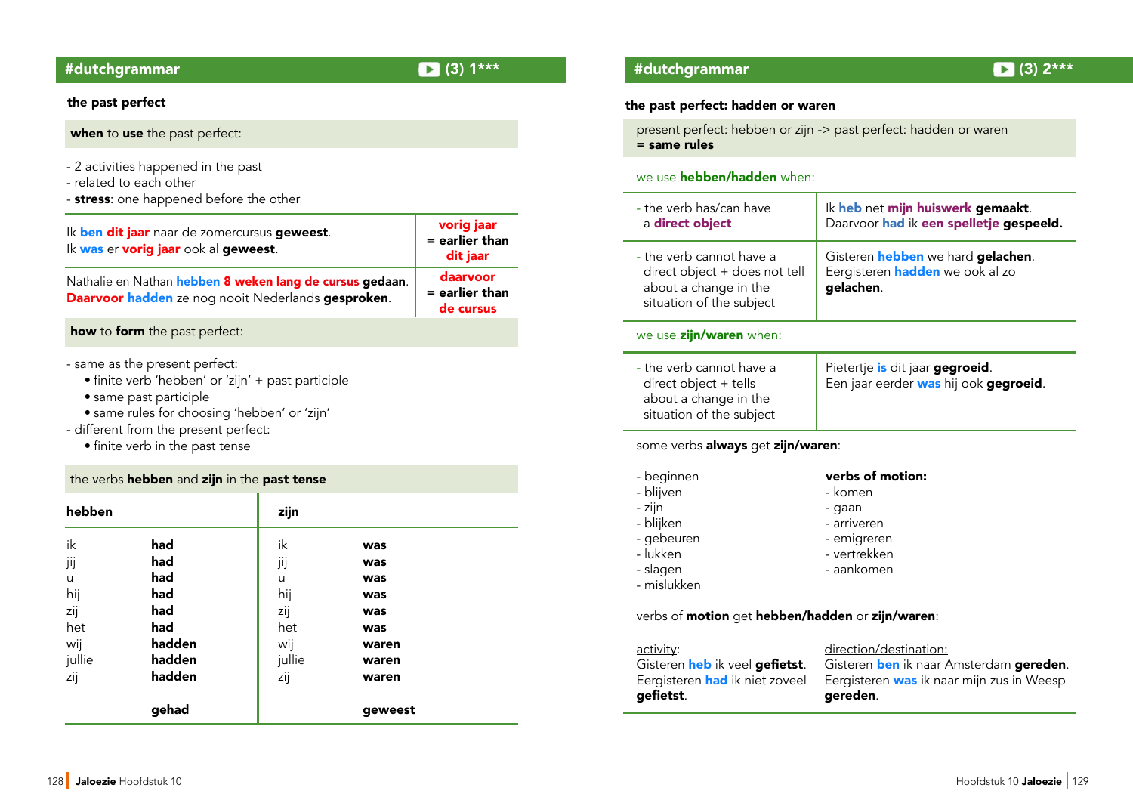#### the past perfect

when to use the past perfect:

- 2 activities happened in the past
- related to each other
- stress: one happened before the other

#### Ik ben dit jaar naar de zomercursus geweest. Ik was er vorig jaar ook al geweest. Nathalie en Nathan hebben 8 weken lang de cursus gedaan. Daarvoor hadden ze nog nooit Nederlands gesproken. vorig jaar = earlier than dit jaar daarvoor = earlier than de cursus

how to form the past perfect:

- same as the present perfect:
	- finite verb 'hebben' or 'zijn' + past participle
	- same past participle
	- same rules for choosing 'hebben' or 'zijn'
- different from the present perfect:
	- finite verb in the past tense

#### the verbs hebben and zijn in the past tense

| hebben                              |                                        | zijn                                |                                        |  |
|-------------------------------------|----------------------------------------|-------------------------------------|----------------------------------------|--|
| ik<br>jij<br>u<br>hij<br>zij<br>het | had<br>had<br>had<br>had<br>had<br>had | ik<br>jij<br>u<br>hij<br>zij<br>het | was<br>was<br>was<br>was<br>was<br>was |  |
| wij<br>jullie<br>zij                | hadden<br>hadden<br>hadden<br>gehad    | wij<br>jullie<br>zij                | waren<br>waren<br>waren<br>geweest     |  |

### #dutchgrammar (3) 1\*\*\* #dutchgrammar (3) 2\*\*\*

#### the past perfect: hadden or waren

present perfect: hebben or zijn -> past perfect: hadden or waren = same rules

#### we use **hebben/hadden** when:

| - the verb has/can have<br>a direct object                                                                     | Ik heb net mijn huiswerk gemaakt.<br>Daarvoor had ik een spelletje gespeeld.                            |  |
|----------------------------------------------------------------------------------------------------------------|---------------------------------------------------------------------------------------------------------|--|
| - the verb cannot have a<br>direct object + does not tell<br>about a change in the<br>situation of the subject | Gisteren <b>hebben</b> we hard <b>gelachen</b> .<br>Eergisteren <b>hadden</b> we ook al zo<br>gelachen. |  |
| we use <b>zijn/waren</b> when:                                                                                 |                                                                                                         |  |
| - the verb cannot have a<br>direct object + tells<br>about a change in the<br>situation of the subject         | Pietertje is dit jaar gegroeid.<br>Een jaar eerder was hij ook gegroeid.                                |  |

### some verbs always get zijn/waren:

- beginnen verbs of motion:
- 
- 
- blijken<br>- gebeuren arriveren arriveren arriveren arriveren arriveren arriveren arriveren arriveren -
- 
- 
- mislukken

# - blijven en blijven blijven blijven blijven blijven blijven blijven blijven blijven blijven blijven blijven b

- zijn gaan
	-
- gebeuren 1988 emigreren III vertrekken<br>- lukken 1988 vertrekken
	- vertrekken
- slagen aankomen

#### verbs of motion get hebben/hadden or zijn/waren:

activity: activity: direction/destination:<br>Gisteren **heb** ik veel **gefietst**. Gisteren **ben** ik naar A gefietst. Gereden.

Gisteren heb ik veel gefietst. Gisteren ben ik naar Amsterdam gereden.<br>Eergisteren had ik niet zoveel Eergisteren was ik naar mijn zus in Weesp Eergisteren was ik naar mijn zus in Weesp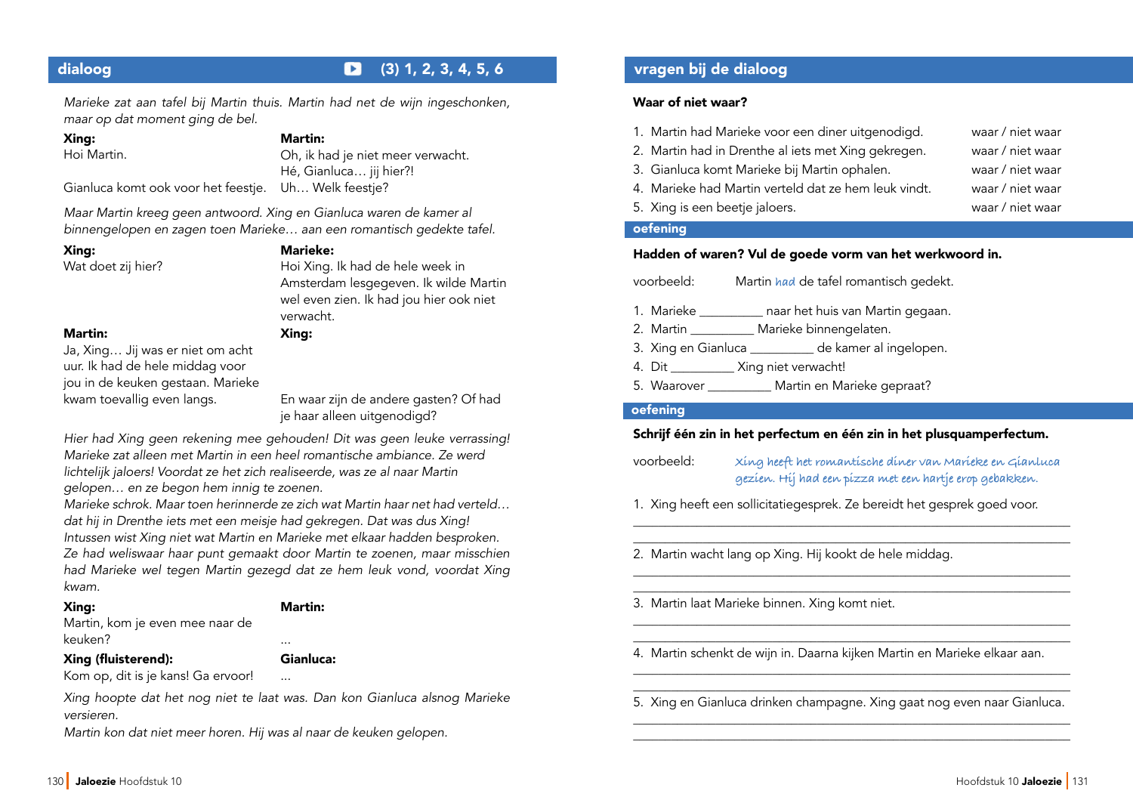# dialoog (3) 1, 2, 3, 4, 5, 6 vragen bi de dialoog

Marieke zat aan tafel bij Martin thuis. Martin had net de wijn ingeschonken, maar op dat moment ging de bel.

Xing:

Hoi Martin.

#### Martin:

Oh, ik had je niet meer verwacht. Hé, Gianluca… jij hier?!

Gianluca komt ook voor het feestje. Uh… Welk feestje?

Maar Martin kreeg geen antwoord. Xing en Gianluca waren de kamer al binnengelopen en zagen toen Marieke… aan een romantisch gedekte tafel.

#### Xing:

Wat doet zij hier?

# Marieke:

Xing:

Hoi Xing. Ik had de hele week in Amsterdam lesgegeven. Ik wilde Martin wel even zien. Ik had jou hier ook niet verwacht.

Martin:

Ja, Xing… Jij was er niet om acht uur. Ik had de hele middag voor jou in de keuken gestaan. Marieke kwam toevallig even langs.

En waar zijn de andere gasten? Of had je haar alleen uitgenodigd?

Hier had Xing geen rekening mee gehouden! Dit was geen leuke verrassing! Marieke zat alleen met Martin in een heel romantische ambiance. Ze werd lichtelijk jaloers! Voordat ze het zich realiseerde, was ze al naar Martin gelopen… en ze begon hem innig te zoenen.

Marieke schrok. Maar toen herinnerde ze zich wat Martin haar net had verteld… dat hij in Drenthe iets met een meisje had gekregen. Dat was dus Xing! Intussen wist Xing niet wat Martin en Marieke met elkaar hadden besproken. Ze had weliswaar haar punt gemaakt door Martin te zoenen, maar misschien had Marieke wel tegen Martin gezegd dat ze hem leuk vond, voordat Xing kwam.

#### Xing:

#### Martin:

Gianluca:

Martin, kom je even mee naar de keuken?

#### Xing (fuisterend):

Kom op, dit is je kans! Ga ervoor! ...

Xing hoopte dat het nog niet te laat was. Dan kon Gianluca alsnog Marieke versieren.

...

Martin kon dat niet meer horen. Hij was al naar de keuken gelopen.

### Waar of niet waar?

| oefening                                             |                  |
|------------------------------------------------------|------------------|
| 5. Xing is een beetje jaloers.                       | waar / niet waar |
| 4. Marieke had Martin verteld dat ze hem leuk vindt. | waar / niet waar |
| 3. Gianluca komt Marieke bij Martin ophalen.         | waar / niet waar |
| 2. Martin had in Drenthe al iets met Xing gekregen.  | waar / niet waar |
| 1. Martin had Marieke voor een diner uitgenodigd.    | waar / niet waar |

#### Hadden of waren? Vul de goede vorm van het werkwoord in.

| voorbeeld: | Martin had de tafel romantisch gedekt.        |  |  |
|------------|-----------------------------------------------|--|--|
| 1. Marieke | naar het huis van Martin gegaan.              |  |  |
| 2. Martin  | Marieke binnengelaten.                        |  |  |
|            | de kamer al ingelopen.<br>3. Xing en Gianluca |  |  |
| 4. Dit     | Xing niet verwacht!                           |  |  |

5. Waarover **Martin en Marieke gepraat?** 

#### oefening

### Schrif één zin in het perfectum en één zin in het plusquamperfectum.

voorbeeld: **Xing heeft het romantische diner van Marieke en Gianluca gezien. Hij had een pizza met een hartje erop gebakken.** 

\_\_\_\_\_\_\_\_\_\_\_\_\_\_\_\_\_\_\_\_\_\_\_\_\_\_\_\_\_\_\_\_\_\_\_\_\_\_\_\_\_\_\_\_\_\_\_\_\_\_\_\_\_\_\_\_\_\_\_\_\_\_\_\_\_\_\_\_\_ \_\_\_\_\_\_\_\_\_\_\_\_\_\_\_\_\_\_\_\_\_\_\_\_\_\_\_\_\_\_\_\_\_\_\_\_\_\_\_\_\_\_\_\_\_\_\_\_\_\_\_\_\_\_\_\_\_\_\_\_\_\_\_\_\_\_\_\_\_

\_\_\_\_\_\_\_\_\_\_\_\_\_\_\_\_\_\_\_\_\_\_\_\_\_\_\_\_\_\_\_\_\_\_\_\_\_\_\_\_\_\_\_\_\_\_\_\_\_\_\_\_\_\_\_\_\_\_\_\_\_\_\_\_\_\_\_\_\_ \_\_\_\_\_\_\_\_\_\_\_\_\_\_\_\_\_\_\_\_\_\_\_\_\_\_\_\_\_\_\_\_\_\_\_\_\_\_\_\_\_\_\_\_\_\_\_\_\_\_\_\_\_\_\_\_\_\_\_\_\_\_\_\_\_\_\_\_\_

\_\_\_\_\_\_\_\_\_\_\_\_\_\_\_\_\_\_\_\_\_\_\_\_\_\_\_\_\_\_\_\_\_\_\_\_\_\_\_\_\_\_\_\_\_\_\_\_\_\_\_\_\_\_\_\_\_\_\_\_\_\_\_\_\_\_\_\_\_ \_\_\_\_\_\_\_\_\_\_\_\_\_\_\_\_\_\_\_\_\_\_\_\_\_\_\_\_\_\_\_\_\_\_\_\_\_\_\_\_\_\_\_\_\_\_\_\_\_\_\_\_\_\_\_\_\_\_\_\_\_\_\_\_\_\_\_\_\_

\_\_\_\_\_\_\_\_\_\_\_\_\_\_\_\_\_\_\_\_\_\_\_\_\_\_\_\_\_\_\_\_\_\_\_\_\_\_\_\_\_\_\_\_\_\_\_\_\_\_\_\_\_\_\_\_\_\_\_\_\_\_\_\_\_\_\_\_\_

1. Xing heeft een sollicitatiegesprek. Ze bereidt het gesprek goed voor.

2. Martin wacht lang op Xing. Hij kookt de hele middag.

3. Martin laat Marieke binnen. Xing komt niet.

- 4. Martin schenkt de wijn in. Daarna kijken Martin en Marieke elkaar aan.
- \_\_\_\_\_\_\_\_\_\_\_\_\_\_\_\_\_\_\_\_\_\_\_\_\_\_\_\_\_\_\_\_\_\_\_\_\_\_\_\_\_\_\_\_\_\_\_\_\_\_\_\_\_\_\_\_\_\_\_\_\_\_\_\_\_\_\_\_\_ 5. Xing en Gianluca drinken champagne. Xing gaat nog even naar Gianluca. \_\_\_\_\_\_\_\_\_\_\_\_\_\_\_\_\_\_\_\_\_\_\_\_\_\_\_\_\_\_\_\_\_\_\_\_\_\_\_\_\_\_\_\_\_\_\_\_\_\_\_\_\_\_\_\_\_\_\_\_\_\_\_\_\_\_\_\_\_

\_\_\_\_\_\_\_\_\_\_\_\_\_\_\_\_\_\_\_\_\_\_\_\_\_\_\_\_\_\_\_\_\_\_\_\_\_\_\_\_\_\_\_\_\_\_\_\_\_\_\_\_\_\_\_\_\_\_\_\_\_\_\_\_\_\_\_\_\_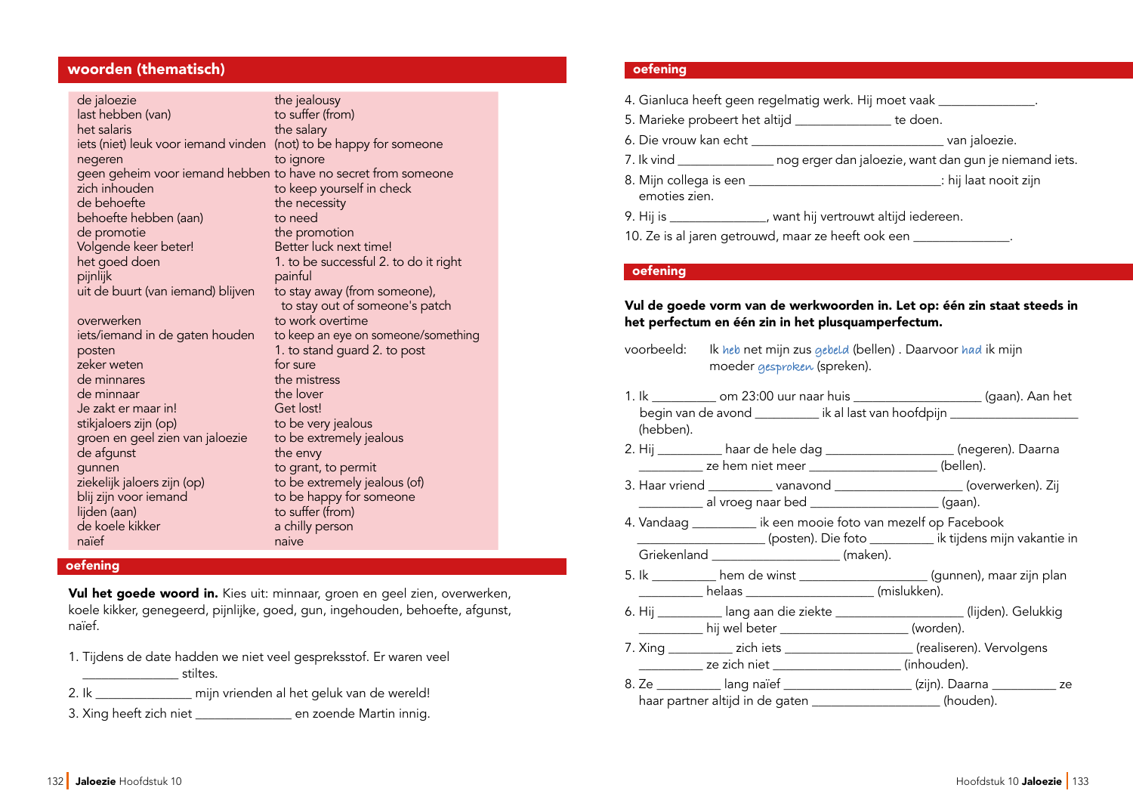### woorden (thematisch)

| de jaloezie                                                   | the jealousy                          |
|---------------------------------------------------------------|---------------------------------------|
| last hebben (van)                                             | to suffer (from)                      |
| het salaris                                                   | the salary                            |
| iets (niet) leuk voor iemand vinden                           | (not) to be happy for someone         |
| negeren                                                       | to ignore                             |
| geen geheim voor iemand hebben to have no secret from someone |                                       |
| zich inhouden                                                 | to keep yourself in check             |
| de behoefte                                                   | the necessity                         |
| behoefte hebben (aan)                                         | to need                               |
| de promotie                                                   | the promotion                         |
| Volgende keer beter!                                          | Better luck next time!                |
| het goed doen                                                 | 1. to be successful 2. to do it right |
| pijnlijk                                                      | painful                               |
| uit de buurt (van iemand) blijven                             | to stay away (from someone),          |
|                                                               | to stay out of someone's patch        |
| overwerken                                                    | to work overtime                      |
| iets/iemand in de gaten houden                                | to keep an eye on someone/something   |
| posten                                                        | 1. to stand guard 2. to post          |
| zeker weten                                                   | for sure                              |
| de minnares                                                   | the mistress                          |
| de minnaar                                                    | the lover                             |
| Je zakt er maar in!                                           | Get lost!                             |
| stikjaloers zijn (op)                                         | to be very jealous                    |
| groen en geel zien van jaloezie                               | to be extremely jealous               |
| de afgunst                                                    | the envy                              |
| gunnen                                                        | to grant, to permit                   |
| ziekelijk jaloers zijn (op)                                   | to be extremely jealous (of)          |
| blij zijn voor iemand                                         | to be happy for someone               |
| lijden (aan)                                                  | to suffer (from)                      |
| de koele kikker                                               | a chilly person                       |
| naïef                                                         | naive                                 |
|                                                               |                                       |

#### **oefening**

Vul het goede woord in. Kies uit: minnaar, groen en geel zien, overwerken, koele kikker, genegeerd, pijnlijke, goed, gun, ingehouden, behoefte, afgunst, naïef.

- 1. Tijdens de date hadden we niet veel gespreksstof. Er waren veel \_\_\_\_\_\_\_\_\_\_\_\_\_\_\_ stiltes.
- 2. Ik \_\_\_\_\_\_\_\_\_\_\_\_\_\_\_ mijn vrienden al het geluk van de wereld!
- 3. Xing heeft zich niet \_\_\_\_\_\_\_\_\_\_\_\_\_\_\_ en zoende Martin innig.

#### oefening

| 4. Gianluca heeft geen regelmatig werk. Hij moet vaak _______________.           |                                                                                      |  |
|----------------------------------------------------------------------------------|--------------------------------------------------------------------------------------|--|
|                                                                                  | 5. Marieke probeert het altijd ________________ te doen.                             |  |
|                                                                                  |                                                                                      |  |
|                                                                                  | 7. Ik vind ___________________ nog erger dan jaloezie, want dan gun je niemand iets. |  |
| emoties zien.                                                                    |                                                                                      |  |
|                                                                                  | 9. Hij is _______________, want hij vertrouwt altijd iedereen.                       |  |
| 10. Ze is al jaren getrouwd, maar ze heeft ook een _____________________________ |                                                                                      |  |

#### oefening

### Vul de goede vorm van de werkwoorden in. Let op: één zin staat steeds in het perfectum en één zin in het plusquamperfectum.

| voorbeeld: | Ik heb net mijn zus gebeld (bellen). Daarvoor had ik mijn |
|------------|-----------------------------------------------------------|
|            | moeder gesproken (spreken).                               |

- 1. Ik \_\_\_\_\_\_\_\_\_\_ om 23:00 uur naar huis \_\_\_\_\_\_\_\_\_\_\_\_\_\_\_\_\_\_\_\_ (gaan). Aan het begin van de avond eeu van hoofdpijn begin van de avond (hebben).
- 2. Hij \_\_\_\_\_\_\_\_\_\_ haar de hele dag \_\_\_\_\_\_\_\_\_\_\_\_\_\_\_\_\_\_\_\_ (negeren). Daarna ze hem niet meer zoodboek (bellen).
- 3. Haar vriend \_\_\_\_\_\_\_\_\_\_ vanavond \_\_\_\_\_\_\_\_\_\_\_\_\_\_\_\_\_\_\_\_ (overwerken). Zij \_\_\_\_\_\_\_\_\_\_ al vroeg naar bed \_\_\_\_\_\_\_\_\_\_\_\_\_\_\_\_\_\_\_\_ (gaan).
- 4. Vandaag \_\_\_\_\_\_\_\_\_\_ ik een mooie foto van mezelf op Facebook \_\_\_\_\_\_\_\_\_\_\_\_\_\_\_\_\_\_\_\_ (posten). Die foto \_\_\_\_\_\_\_\_\_\_ ik tijdens mijn vakantie in Griekenland \_\_\_\_\_\_\_\_\_\_\_\_\_\_\_\_\_\_\_\_\_\_\_ (maken).
- 5. Ik \_\_\_\_\_\_\_\_\_\_ hem de winst \_\_\_\_\_\_\_\_\_\_\_\_\_\_\_\_\_\_\_\_ (gunnen), maar zijn plan \_\_\_\_\_\_\_\_\_\_ helaas \_\_\_\_\_\_\_\_\_\_\_\_\_\_\_\_\_\_\_\_ (mislukken).
- 6. Hij \_\_\_\_\_\_\_\_\_\_ lang aan die ziekte \_\_\_\_\_\_\_\_\_\_\_\_\_\_\_\_\_\_\_\_ (lijden). Gelukkig \_\_\_\_\_\_\_\_\_\_ hij wel beter \_\_\_\_\_\_\_\_\_\_\_\_\_\_\_\_\_\_\_\_ (worden).
- 7. Xing \_\_\_\_\_\_\_\_\_\_ zich iets \_\_\_\_\_\_\_\_\_\_\_\_\_\_\_\_\_\_\_\_ (realiseren). Vervolgens \_\_\_\_\_\_\_\_\_\_ ze zich niet \_\_\_\_\_\_\_\_\_\_\_\_\_\_\_\_\_\_\_\_ (inhouden).
- 8. Ze \_\_\_\_\_\_\_\_\_\_ lang naïef \_\_\_\_\_\_\_\_\_\_\_\_\_\_\_\_\_\_\_\_\_\_(zijn). Daarna \_\_\_\_\_\_\_\_\_\_\_\_ ze haar partner altijd in de gaten \_\_\_\_\_\_\_\_\_\_\_\_\_\_\_\_\_\_\_\_(houden).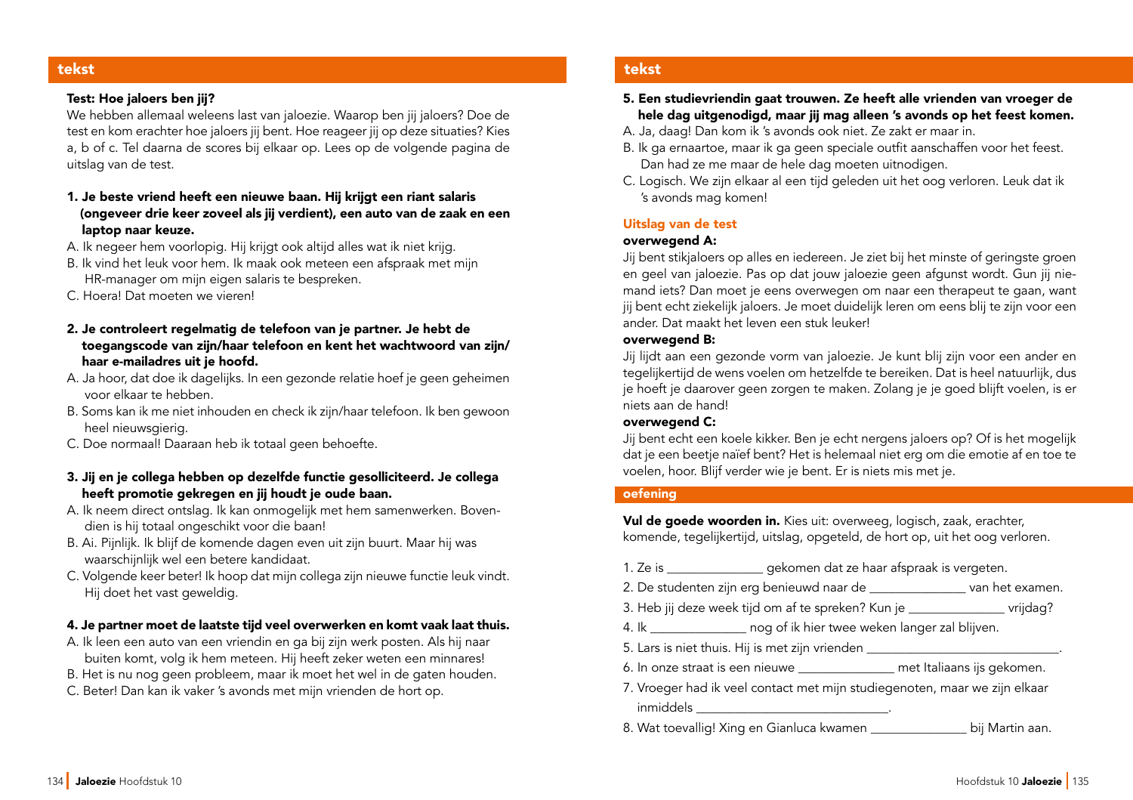#### tekst

#### Test: Hoe jaloers ben ji?

We hebben allemaal weleens last van jaloezie. Waarop ben jij jaloers? Doe de test en kom erachter hoe jaloers jij bent. Hoe reageer jij op deze situaties? Kies a, b of c. Tel daarna de scores bij elkaar op. Lees op de volgende pagina de uitslag van de test.

- 1. Je beste vriend heeft een nieuwe baan. Hij krijgt een riant salaris (ongeveer drie keer zoveel als ji verdient), een auto van de zaak en een laptop naar keuze.
- A. Ik negeer hem voorlopig. Hij krijgt ook altijd alles wat ik niet krijg.
- B. Ik vind het leuk voor hem. Ik maak ook meteen een afspraak met mijn HR-manager om mijn eigen salaris te bespreken.
- C. Hoera! Dat moeten we vieren!
- 2. Je controleert regelmatig de telefoon van je partner. Je hebt de toegangscode van zin/haar telefoon en kent het wachtwoord van zin/ haar e-mailadres uit je hoofd.
- A. Ja hoor, dat doe ik dagelijks. In een gezonde relatie hoef je geen geheimen voor elkaar te hebben.
- B. Soms kan ik me niet inhouden en check ik zijn/haar telefoon. Ik ben gewoon heel nieuwsgierig.
- C. Doe normaal! Daaraan heb ik totaal geen behoefte.
- 3. Jij en je collega hebben op dezelfde functie gesolliciteerd. Je collega heeft promotie gekregen en jij houdt je oude baan.
- A. Ik neem direct ontslag. Ik kan onmogelijk met hem samenwerken. Boven dien is hij totaal ongeschikt voor die baan!
- B. Ai. Pijnlijk. Ik blijf de komende dagen even uit zijn buurt. Maar hij was waarschijnlijk wel een betere kandidaat.
- C. Volgende keer beter! Ik hoop dat mijn collega zijn nieuwe functie leuk vindt. Hij doet het vast geweldig.

### 4. Je partner moet de laatste tid veel overwerken en komt vaak laat thuis.

- A. Ik leen een auto van een vriendin en ga bij zijn werk posten. Als hij naar buiten komt, volg ik hem meteen. Hij heeft zeker weten een minnares!
- B. Het is nu nog geen probleem, maar ik moet het wel in de gaten houden.
- C. Beter! Dan kan ik vaker 's avonds met mijn vrienden de hort op.

### tekst

- 5. Een studievriendin gaat trouwen. Ze heeft alle vrienden van vroeger de hele dag uitgenodigd, maar jij mag alleen 's avonds op het feest komen.
- A. Ja, daag! Dan kom ik 's avonds ook niet. Ze zakt er maar in.
- B. Ik ga ernaartoe, maar ik ga geen speciale outfit aanschaffen voor het feest. Dan had ze me maar de hele dag moeten uitnodigen.
- C. Logisch. We zijn elkaar al een tijd geleden uit het oog verloren. Leuk dat ik 's avonds mag komen!

#### Uitslag van de test

### overwegend A:

Jij bent stikjaloers op alles en iedereen. Je ziet bij het minste of geringste groen en geel van jaloezie. Pas op dat jouw jaloezie geen afgunst wordt. Gun jij niemand iets? Dan moet je eens overwegen om naar een therapeut te gaan, want jij bent echt ziekelijk jaloers. Je moet duidelijk leren om eens blij te zijn voor een ander. Dat maakt het leven een stuk leuker!

#### overwegend B:

Jij lijdt aan een gezonde vorm van jaloezie. Je kunt blij zijn voor een ander en tegelijkertijd de wens voelen om hetzelfde te bereiken. Dat is heel natuurlijk, dus je hoeft je daarover geen zorgen te maken. Zolang je je goed blijft voelen, is er niets aan de hand!

#### overwegend C:

Jij bent echt een koele kikker. Ben je echt nergens jaloers op? Of is het mogelijk dat je een beetje naïef bent? Het is helemaal niet erg om die emotie af en toe te voelen, hoor. Blijf verder wie je bent. Er is niets mis met je.

#### oefening

Vul de goede woorden in. Kies uit: overweeg, logisch, zaak, erachter, komende, tegelijkertijd, uitslag, opgeteld, de hort op, uit het oog verloren.

- 1. Ze is \_\_\_\_\_\_\_\_\_\_\_\_\_\_\_ gekomen dat ze haar afspraak is vergeten.
- 2. De studenten zijn erg benieuwd naar de \_\_\_\_\_\_\_\_\_\_\_\_\_\_\_\_ van het examen.
- 3. Heb jij deze week tijd om af te spreken? Kun je \_\_\_\_\_\_\_\_\_\_\_\_\_\_\_\_ vrijdag?
- 4. Ik \_\_\_\_\_\_\_\_\_\_\_\_\_\_\_ nog of ik hier twee weken langer zal blijven.
- 5. Lars is niet thuis. Hij is met zijn vrienden
- 6. In onze straat is een nieuwe \_\_\_\_\_\_\_\_\_\_\_\_\_\_\_ met Italiaans ijs gekomen.
- 7. Vroeger had ik veel contact met mijn studiegenoten, maar we zijn elkaar inmiddels \_\_\_\_\_\_\_\_\_\_\_\_\_\_\_\_\_\_\_\_\_\_\_\_\_\_\_\_\_\_.
- 8. Wat toevallig! Xing en Gianluca kwamen \_\_\_\_\_\_\_\_\_\_\_\_\_\_\_ bij Martin aan.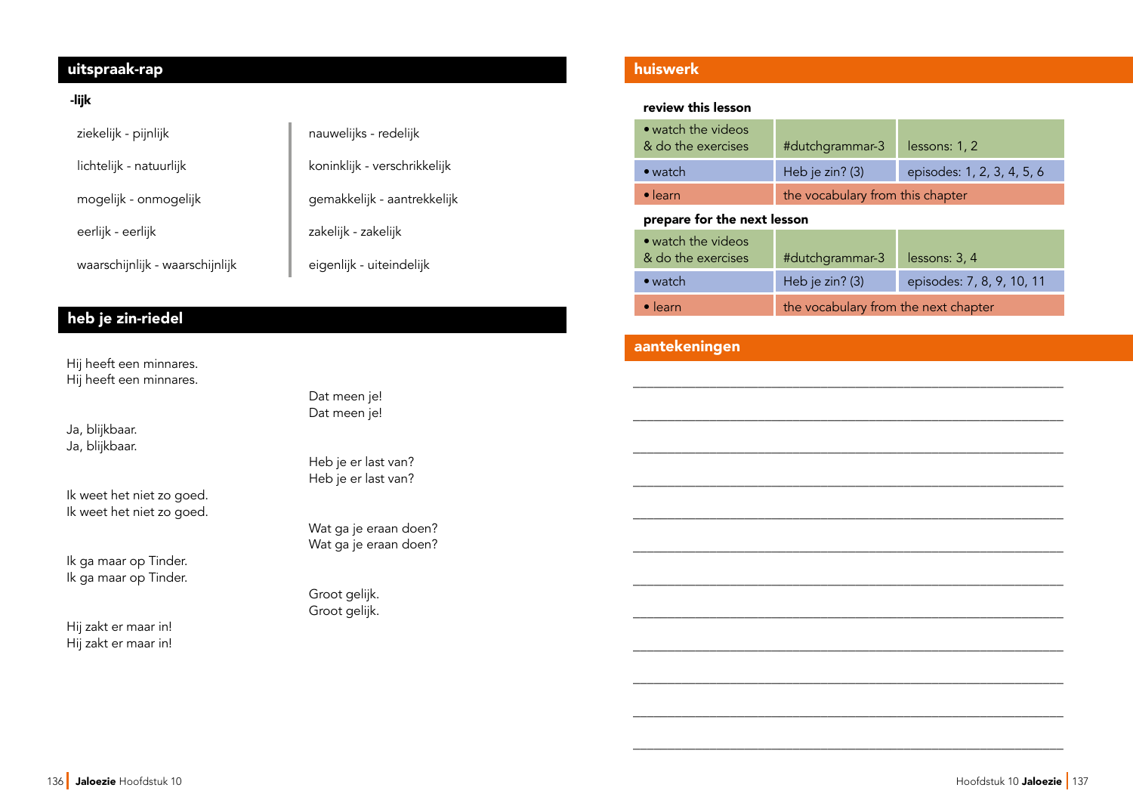# uitspraak-rap huiswerk

### -lik

| ziekelijk - pijnlijk            | nauwelijks - redelijk        |
|---------------------------------|------------------------------|
| lichtelijk - natuurlijk         | koninklijk - verschrikkelijk |
| mogelijk - onmogelijk           | gemakkelijk - aantrekkelijk  |
| eerlijk - eerlijk               | zakelijk - zakelijk          |
| waarschijnlijk - waarschijnlijk | eigenlijk - uiteindelijk     |

# heb je zin-riedel

Hij heeft een minnares. Hij heeft een minnares.

Ja, blijkbaar. Ja, blijkbaar.

Ik weet het niet zo goed. Ik weet het niet zo goed.

Ik ga maar op Tinder. Ik ga maar op Tinder.

Hij zakt er maar in! Hij zakt er maar in!  Dat meen je! Dat meen je!

 Heb je er last van? Heb je er last van?

 Wat ga je eraan doen? Wat ga je eraan doen?

 Groot gelijk. Groot gelijk.

#### review this lesson

| • watch the videos<br>& do the exercises | #dutchgrammar-3                  | lessons: 1, 2              |
|------------------------------------------|----------------------------------|----------------------------|
| $\bullet$ watch                          | Heb je zin? $(3)$                | episodes: 1, 2, 3, 4, 5, 6 |
| $\bullet$ learn                          | the vocabulary from this chapter |                            |

#### prepare for the next lesson

| • watch the videos<br>& do the exercises | #dutchgrammar-3                      | lessons: 3, 4             |
|------------------------------------------|--------------------------------------|---------------------------|
| $\bullet$ watch                          | Heb je zin? (3)                      | episodes: 7, 8, 9, 10, 11 |
| $\bullet$ learn                          | the vocabulary from the next chapter |                           |

\_\_\_\_\_\_\_\_\_\_\_\_\_\_\_\_\_\_\_\_\_\_\_\_\_\_\_\_\_\_\_\_\_\_\_\_\_\_\_\_\_\_\_\_\_\_\_\_\_\_\_\_\_\_\_\_\_\_\_\_\_\_

\_\_\_\_\_\_\_\_\_\_\_\_\_\_\_\_\_\_\_\_\_\_\_\_\_\_\_\_\_\_\_\_\_\_\_\_\_\_\_\_\_\_\_\_\_\_\_\_\_\_\_\_\_\_\_\_\_\_\_\_\_\_

\_\_\_\_\_\_\_\_\_\_\_\_\_\_\_\_\_\_\_\_\_\_\_\_\_\_\_\_\_\_\_\_\_\_\_\_\_\_\_\_\_\_\_\_\_\_\_\_\_\_\_\_\_\_\_\_\_\_\_\_\_\_

\_\_\_\_\_\_\_\_\_\_\_\_\_\_\_\_\_\_\_\_\_\_\_\_\_\_\_\_\_\_\_\_\_\_\_\_\_\_\_\_\_\_\_\_\_\_\_\_\_\_\_\_\_\_\_\_\_\_\_\_\_\_

\_\_\_\_\_\_\_\_\_\_\_\_\_\_\_\_\_\_\_\_\_\_\_\_\_\_\_\_\_\_\_\_\_\_\_\_\_\_\_\_\_\_\_\_\_\_\_\_\_\_\_\_\_\_\_\_\_\_\_\_\_\_

\_\_\_\_\_\_\_\_\_\_\_\_\_\_\_\_\_\_\_\_\_\_\_\_\_\_\_\_\_\_\_\_\_\_\_\_\_\_\_\_\_\_\_\_\_\_\_\_\_\_\_\_\_\_\_\_\_\_\_\_\_\_

\_\_\_\_\_\_\_\_\_\_\_\_\_\_\_\_\_\_\_\_\_\_\_\_\_\_\_\_\_\_\_\_\_\_\_\_\_\_\_\_\_\_\_\_\_\_\_\_\_\_\_\_\_\_\_\_\_\_\_\_\_\_

\_\_\_\_\_\_\_\_\_\_\_\_\_\_\_\_\_\_\_\_\_\_\_\_\_\_\_\_\_\_\_\_\_\_\_\_\_\_\_\_\_\_\_\_\_\_\_\_\_\_\_\_\_\_\_\_\_\_\_\_\_\_

\_\_\_\_\_\_\_\_\_\_\_\_\_\_\_\_\_\_\_\_\_\_\_\_\_\_\_\_\_\_\_\_\_\_\_\_\_\_\_\_\_\_\_\_\_\_\_\_\_\_\_\_\_\_\_\_\_\_\_\_\_\_

\_\_\_\_\_\_\_\_\_\_\_\_\_\_\_\_\_\_\_\_\_\_\_\_\_\_\_\_\_\_\_\_\_\_\_\_\_\_\_\_\_\_\_\_\_\_\_\_\_\_\_\_\_\_\_\_\_\_\_\_\_\_

\_\_\_\_\_\_\_\_\_\_\_\_\_\_\_\_\_\_\_\_\_\_\_\_\_\_\_\_\_\_\_\_\_\_\_\_\_\_\_\_\_\_\_\_\_\_\_\_\_\_\_\_\_\_\_\_\_\_\_\_\_\_

\_\_\_\_\_\_\_\_\_\_\_\_\_\_\_\_\_\_\_\_\_\_\_\_\_\_\_\_\_\_\_\_\_\_\_\_\_\_\_\_\_\_\_\_\_\_\_\_\_\_\_\_\_\_\_\_\_\_\_\_\_\_

# aantekeningen